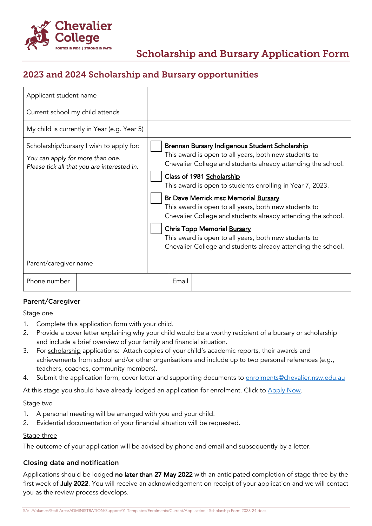

# 2023 and 2024 Scholarship and Bursary opportunities

| Applicant student name                                                                                                      |                                             |                                                                                                                                                                                                                                                                                                                                                                                                                                                                                                                                                                                                   |       |  |
|-----------------------------------------------------------------------------------------------------------------------------|---------------------------------------------|---------------------------------------------------------------------------------------------------------------------------------------------------------------------------------------------------------------------------------------------------------------------------------------------------------------------------------------------------------------------------------------------------------------------------------------------------------------------------------------------------------------------------------------------------------------------------------------------------|-------|--|
| Current school my child attends                                                                                             |                                             |                                                                                                                                                                                                                                                                                                                                                                                                                                                                                                                                                                                                   |       |  |
|                                                                                                                             | My child is currently in Year (e.g. Year 5) |                                                                                                                                                                                                                                                                                                                                                                                                                                                                                                                                                                                                   |       |  |
| Scholarship/bursary I wish to apply for:<br>You can apply for more than one.<br>Please tick all that you are interested in. |                                             | Brennan Bursary Indigenous Student Scholarship<br>This award is open to all years, both new students to<br>Chevalier College and students already attending the school.<br>Class of 1981 Scholarship<br>This award is open to students enrolling in Year 7, 2023.<br>Br Dave Merrick msc Memorial Bursary<br>This award is open to all years, both new students to<br>Chevalier College and students already attending the school.<br><b>Chris Topp Memorial Bursary</b><br>This award is open to all years, both new students to<br>Chevalier College and students already attending the school. |       |  |
| Parent/caregiver name                                                                                                       |                                             |                                                                                                                                                                                                                                                                                                                                                                                                                                                                                                                                                                                                   |       |  |
| Phone number                                                                                                                |                                             |                                                                                                                                                                                                                                                                                                                                                                                                                                                                                                                                                                                                   | Email |  |

## Parent/Caregiver

## Stage one

- 1. Complete this application form with your child.
- 2. Provide a cover letter explaining why your child would be a worthy recipient of a bursary or scholarship and include a brief overview of your family and financial situation.
- 3. For scholarship applications: Attach copies of your child's academic reports, their awards and achievements from school and/or other organisations and include up to two personal references (e.g., teachers, coaches, community members).
- 4. Submit the application form, cover letter and supporting documents to enrolments@chevalier.nsw.edu.au

At this stage you should have already lodged an application for enrolment. Click to [Apply Now.](https://www.chevalier.nsw.edu.au/enrolment/apply/)

#### Stage two

- 1. A personal meeting will be arranged with you and your child.
- 2. Evidential documentation of your financial situation will be requested.

## Stage three

The outcome of your application will be advised by phone and email and subsequently by a letter.

## Closing date and notification

Applications should be lodged no later than 27 May 2022 with an anticipated completion of stage three by the first week of July 2022. You will receive an acknowledgement on receipt of your application and we will contact you as the review process develops.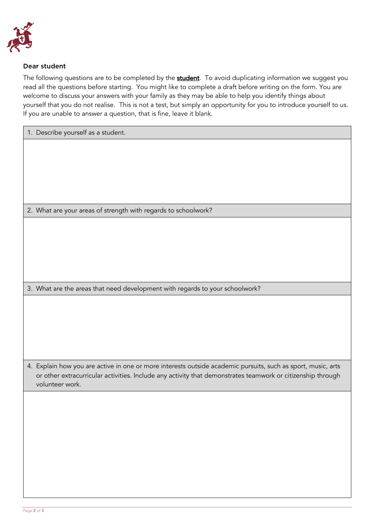

## Dear student

The following questions are to be completed by the **student**. To avoid duplicating information we suggest you read all the questions before starting. You might like to complete a draft before writing on the form. You are welcome to discuss your answers with your family as they may be able to help you identify things about yourself that you do not realise. This is not a test, but simply an opportunity for you to introduce yourself to us. If you are unable to answer a question, that is fine, leave it blank.

| 1. Describe yourself as a student.                                                                                                                                                                                          |  |  |  |  |  |
|-----------------------------------------------------------------------------------------------------------------------------------------------------------------------------------------------------------------------------|--|--|--|--|--|
|                                                                                                                                                                                                                             |  |  |  |  |  |
|                                                                                                                                                                                                                             |  |  |  |  |  |
|                                                                                                                                                                                                                             |  |  |  |  |  |
|                                                                                                                                                                                                                             |  |  |  |  |  |
|                                                                                                                                                                                                                             |  |  |  |  |  |
| 2. What are your areas of strength with regards to schoolwork?                                                                                                                                                              |  |  |  |  |  |
|                                                                                                                                                                                                                             |  |  |  |  |  |
|                                                                                                                                                                                                                             |  |  |  |  |  |
|                                                                                                                                                                                                                             |  |  |  |  |  |
|                                                                                                                                                                                                                             |  |  |  |  |  |
|                                                                                                                                                                                                                             |  |  |  |  |  |
| 3. What are the areas that need development with regards to your schoolwork?                                                                                                                                                |  |  |  |  |  |
|                                                                                                                                                                                                                             |  |  |  |  |  |
|                                                                                                                                                                                                                             |  |  |  |  |  |
|                                                                                                                                                                                                                             |  |  |  |  |  |
|                                                                                                                                                                                                                             |  |  |  |  |  |
|                                                                                                                                                                                                                             |  |  |  |  |  |
| 4. Explain how you are active in one or more interests outside academic pursuits, such as sport, music, arts<br>or other extracurricular activities. Include any activity that demonstrates teamwork or citizenship through |  |  |  |  |  |
| volunteer work.                                                                                                                                                                                                             |  |  |  |  |  |
|                                                                                                                                                                                                                             |  |  |  |  |  |
|                                                                                                                                                                                                                             |  |  |  |  |  |
|                                                                                                                                                                                                                             |  |  |  |  |  |
|                                                                                                                                                                                                                             |  |  |  |  |  |
|                                                                                                                                                                                                                             |  |  |  |  |  |
|                                                                                                                                                                                                                             |  |  |  |  |  |